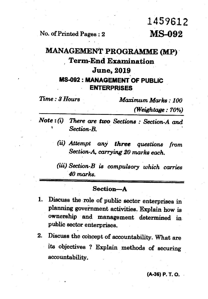## 1459612

**No. of Printed Pages : 2 MS-092** 

## **MANAGEMENT PROGRAMME (MP) , Term-End Examination June, 2019 MS-092 : MANAGEMENT OF PUBLIC ENTERPRISES**

| Time : 3 Hours | Maximum Marks: 100 |
|----------------|--------------------|
|                | (Weightage: 70%)   |

*Note : (i) There are two Sections : Section-A and Section-B.* 

> *(ii) Attempt any three questions from Section-A, carrying 20 marks each.*

> *Section-B is compulsory which carries 40 marks.*

## **Section--A**

- **1. Discuss the role of public sector enterprises in**  planning government activities. Explain how is **ownership and management determined in public sector enterprises.**
- 2. Discuss the cohcept of accountability. What are **its objectives ? Explain methods of securing accountability.**

**(A-36) P. T. O.**